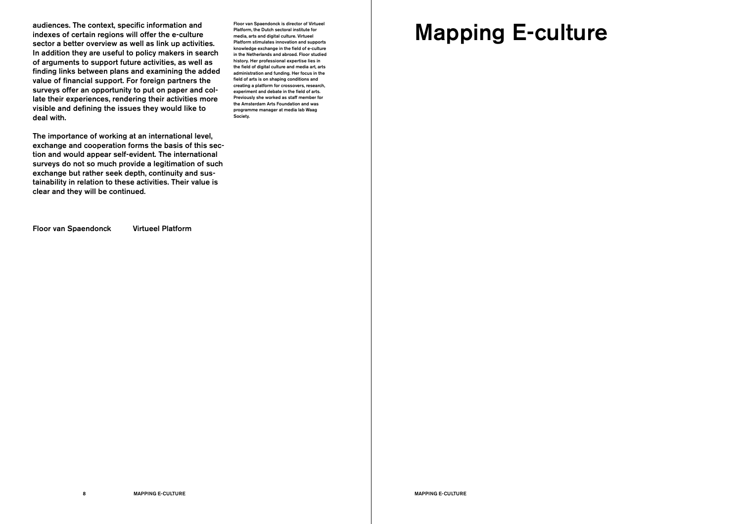# Mapping E-culture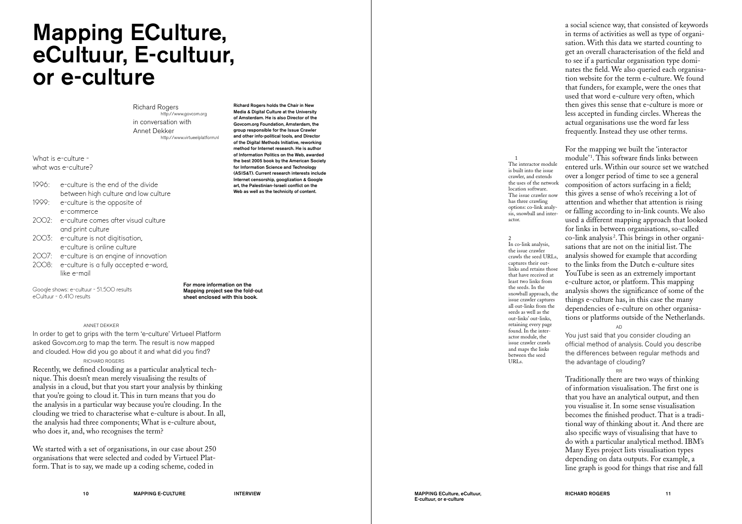## Mapping ECulture, eCultuur, E-cultuur, or e-culture

Richard Rogers http://www.govcom.org in conversation with Annet Dekker http://www.virtueelplatform.nl

What is e-culture what was e-culture?

- 1996: e-culture is the end of the divide between high culture and low culture
- 1999: e-culture is the opposite of e-commerce
- 2002: e-culture comes after visual culture and print culture
- 2003: e-culture is not digitisation, e-culture is online culture
- 2007: e-culture is an engine of innovation
- 2008: e-culture is a fully accepted e-word, like e-mail

Google shows: e-cultuur - 51.500 results eCultuur - 6.410 results

For more information on the Mapping project see the fold-out sheet enclosed with this book.

## ANNET DEKKER

In order to get to grips with the term 'e-culture' Virtueel Platform asked Govcom.org to map the term. The result is now mapped and clouded. How did you go about it and what did you find?

## RICHARD ROGERS

Recently, we defined clouding as a particular analytical technique. This doesn't mean merely visualising the results of analysis in a cloud, but that you start your analysis by thinking that you're going to cloud it. This in turn means that you do the analysis in a particular way because you're clouding. In the clouding we tried to characterise what e-culture is about. In all, the analysis had three components; What is e-culture about, who does it, and, who recognises the term?

We started with a set of organisations, in our case about 250 organisations that were selected and coded by Virtueel Platform. That is to say, we made up a coding scheme, coded in

Richard Rogers holds the Chair in New Media & Digital Culture at the University of Amsterdam. He is also Director of the Govcom.org Foundation, Amsterdam, the group responsible for the Issue Crawler and other info-political tools, and Director of the Digital Methods Initiative, reworking method for Internet research. He is author of Information Politics on the Web, awarded the best 2005 book by the American Society for Information Science and Technology (ASIS&T). Current research interests include Internet censorship, googlization & Google art, the Palestinian-Israeli conflict on the Web as well as the technicity of content.

a social science way, that consisted of keywords in terms of activities as well as type of organisation. With this data we started counting to get an overall characterisation of the field and to see if a particular organisation type dominates the field. We also queried each organisation website for the term e-culture. We found that funders, for example, were the ones that used that word e-culture very often, which then gives this sense that e-culture is more or less accepted in funding circles. Whereas the actual organisations use the word far less frequently. Instead they use other terms.

1

actor.

In co-link analysis, the issue crawler crawls the seed URLs, captures their outlinks and retains those that have received at least two links from the seeds. In the snowball approach, the issue crawler captures all out-links from the seeds as well as the out-links' out-links, retaining every page found. In the interactor module, the issue crawler crawls and maps the links between the seed URLs.

 $\overline{2}$ 

The interactor module is built into the issue crawler, and extends the uses of the network location software. The issue crawler now has three crawling options: co-link analysis, snowball and inter-

For the mapping we built the 'interactor module' 1 . This software finds links between entered urls. Within our source set we watched over a longer period of time to see a general composition of actors surfacing in a field; this gives a sense of who's receiving a lot of attention and whether that attention is rising or falling according to in-link counts. We also used a different mapping approach that looked for links in between organisations, so-called co-link analysis 2 . This brings in other organisations that are not on the initial list. The analysis showed for example that according to the links from the Dutch e-culture sites YouTube is seen as an extremely important e-culture actor, or platform. This mapping analysis shows the significance of some of the things e-culture has, in this case the many dependencies of e-culture on other organisations or platforms outside of the Netherlands.

AD You just said that you consider clouding an official method of analysis. Could you describe the differences between regular methods and the advantage of clouding?

RR Traditionally there are two ways of thinking of information visualisation. The first one is that you have an analytical output, and then you visualise it. In some sense visualisation becomes the finished product. That is a traditional way of thinking about it. And there are also specific ways of visualising that have to do with a particular analytical method. IBM's Many Eyes project lists visualisation types depending on data outputs. For example, a line graph is good for things that rise and fall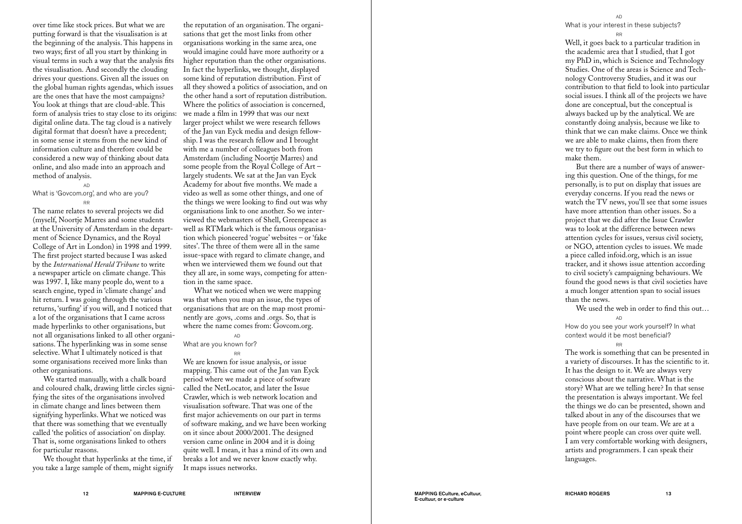over time like stock prices. But what we are putting forward is that the visualisation is at the beginning of the analysis. This happens in two ways; first of all you start by thinking in visual terms in such a way that the analysis fits the visualisation. And secondly the clouding drives your questions. Given all the issues on the global human rights agendas, which issues are the ones that have the most campaigns? You look at things that are cloud-able. This form of analysis tries to stay close to its origins: digital online data. The tag cloud is a natively digital format that doesn't have a precedent; in some sense it stems from the new kind of information culture and therefore could be considered a new way of thinking about data online, and also made into an approach and method of analysis.

### AD What is 'Govcom.org', and who are you? RR

The name relates to several projects we did (myself, Noortje Marres and some students at the University of Amsterdam in the depart ment of Science Dynamics, and the Royal College of Art in London) in 1998 and 1999. The first project started because I was asked by the *International Herald Tribune* to write a newspaper article on climate change. This was 1997. I, like many people do, went to a search engine, typed in 'climate change' and hit return. I was going through the various returns, 'surfing' if you will, and I noticed that a lot of the organisations that I came across made hyperlinks to other organisations, but not all organisations linked to all other organisations. The hyperlinking was in some sense selective. What I ultimately noticed is that some organisations received more links than other organisations.

We started manually, with a chalk board and coloured chalk, drawing little circles signifying the sites of the organisations involved in climate change and lines between them signifying hyperlinks. What we noticed was that there was something that we eventually called 'the politics of association' on display. That is, some organisations linked to others for particular reasons.

We thought that hyperlinks at the time, if you take a large sample of them, might signify

the reputation of an organisation. The organi sations that get the most links from other organisations working in the same area, one would imagine could have more authority or a higher reputation than the other organisations. In fact the hyperlinks, we thought, displayed some kind of reputation distribution. First of all they showed a politics of association, and on the other hand a sort of reputation distribution. Where the politics of association is concerned, we made a film in 1999 that was our next larger project whilst we were research fellows of the Jan van Eyck media and design fellow ship. I was the research fellow and I brought with me a number of colleagues both from Amsterdam (including Noortje Marres) and some people from the Royal College of Art – largely students. We sat at the Jan van Eyck Academy for about five months. We made a video as well as some other things, and one of the things we were looking to find out was why organisations link to one another. So we interviewed the webmasters of Shell, Greenpeace as well as RTMark which is the famous organisa tion which pioneered 'rogue' websites – or 'fake sites'. The three of them were all in the same issue-space with regard to climate change, and when we interviewed them we found out that

they all are, in some ways, competing for atten tion in the same space. What we noticed when we were mapping was that when you map an issue, the types of organisations that are on the map most prominently are .govs, .coms and .orgs. So, that is

where the name comes from: Govcom.org.

AD What are you known for?

RR

We are known for issue analysis, or issue mapping. This came out of the Jan van Eyck period where we made a piece of software called the NetLocator, and later the Issue Crawler, which is web network location and visualisation software. That was one of the first major achievements on our part in terms of software making, and we have been working on it since about 2000/2001. The designed version came online in 2004 and it is doing quite well. I mean, it has a mind of its own and breaks a lot and we never know exactly why. It maps issues networks.

#### AD

What is your interest in these subjects?

RR Well, it goes back to a particular tradition in the academic area that I studied, that I got my PhD in, which is Science and Technology Studies. One of the areas is Science and Technology Controversy Studies, and it was our contribution to that field to look into particular social issues. I think all of the projects we have done are conceptual, but the conceptual is always backed up by the analytical. We are constantly doing analysis, because we like to think that we can make claims. Once we think we are able to make claims, then from there we try to figure out the best form in which to make them.

But there are a number of ways of answer ing this question. One of the things, for me personally, is to put on display that issues are everyday concerns. If you read the news or watch the TV news, you'll see that some issues have more attention than other issues. So a project that we did after the Issue Crawler was to look at the difference between news attention cycles for issues, versus civil society, or NGO, attention cycles to issues. We made a piece called infoid.org, which is an issue tracker, and it shows issue attention according to civil society's campaigning behaviours. We found the good news is that civil societies have a much longer attention span to social issues than the news.

We used the web in order to find this out…

AD

RR

How do you see your work yourself? In what context would it be most beneficial?

The work is something that can be presented in a variety of discourses. It has the scientific to it. It has the design to it. We are always very conscious about the narrative. What is the story? What are we telling here? In that sense the presentation is always important. We feel the things we do can be presented, shown and talked about in any of the discourses that we have people from on our team. We are at a point where people can cross over quite well. I am very comfortable working with designers, artists and programmers. I can speak their languages.